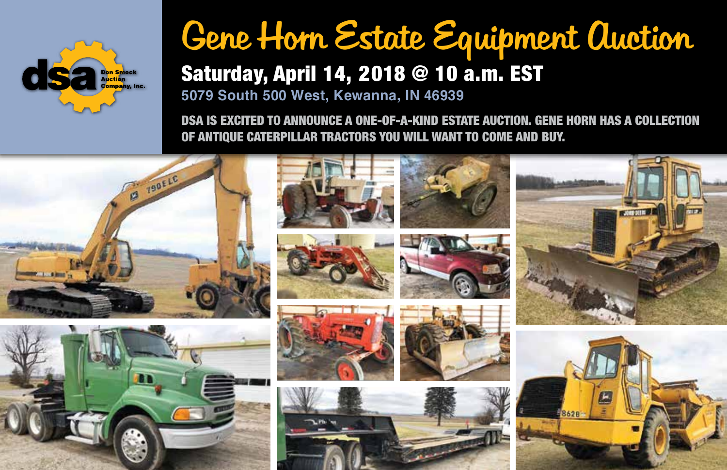

## Gene Horn Estate Equipment Auction Saturday, April 14, 2018 @ 10 a.m. EST

**5079 South 500 West, Kewanna, IN 46939**

DSA IS EXCITED TO ANNOUNCE A ONE-OF-A-KIND ESTATE AUCTION. GENE HORN HAS A COLLECTION OF ANTIQUE CATERPILLAR TRACTORS YOU WILL WANT TO COME AND BUY.